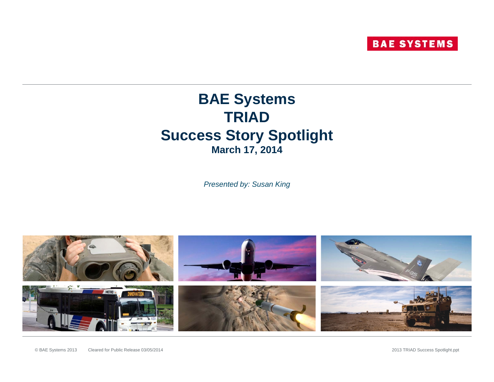### **BAE Systems TRIAD Success Story Spotlight March 17, 2014**

*Presented by: Susan King*

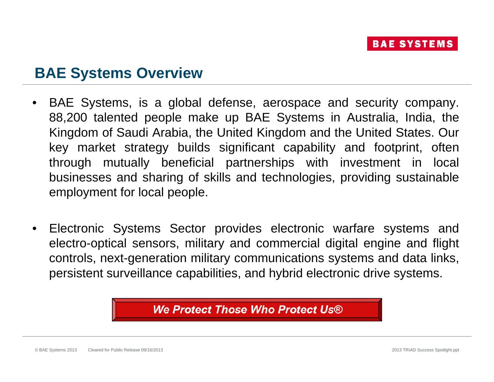### **BAE Systems Overview**

- • BAE Systems, is <sup>a</sup> global defense, aerospace and security company. 88,200 talented people make up BAE Systems in Australia, India, the Kingdom of Saudi Arabia, the United Kingdom and the United States. Our key market strategy builds significant capability and footprint, often through mutually beneficial partnerships with investment in local businesses and sharing of skills and technologies, providing sustainable employment for local people.
- $\bullet$  Electronic Systems Sector provides electronic warfare systems and electro-optical sensors, military and commercial digital engine and flight controls, next-generation military communications systems and data links, persistent surveillance capabilities, and hybrid electronic drive systems.

We Protect Those Who Protect Us®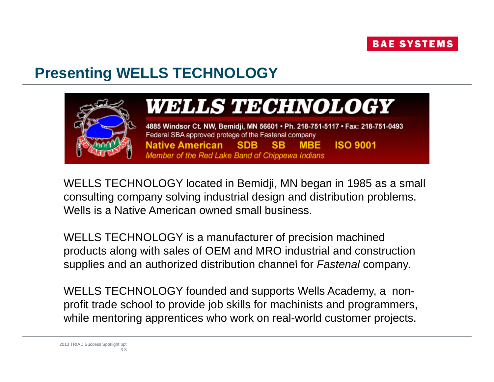

## **Presenting WELLS TECHNOLOGY WELLS**



# WELLS TECHNOLOGY

4885 Windsor Ct. NW, Bemidji, MN 56601 · Ph. 218-751-5117 · Fax: 218-751-0493 Federal SBA approved protege of the Fastenal company **Native American SDB MBE ISO 9001 SB** Member of the Red Lake Band of Chippewa Indians

WELLS TECHNOLOGY located in Bemidji, MN began in 1985 as a small consulting company solving industrial design and distribution problems. Wells is a Native American owned small business.

WELLS TECHNOLOGY is a manufacturer of precision machined products along with sales of OEM and MRO industrial and construction supplies and an authorized distribution channel for **Fastenal company**.

WELLS TECHNOLOGY founded and supports Wells Academy, a nonprofit trade school to provide job skills for machinists and programmers, while mentoring apprentices who work on real-world customer projects.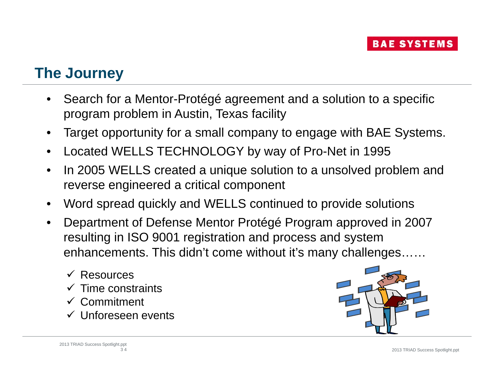### **The Journey**

- • Search for a Mentor-Protégé agreement and a solution to a specific program problem in Austin, Texas facility
- •Target opportunity for a small company to engage with BAE Systems.
- •Located WELLS TECHNOLOGY by way of Pro-Net in 1995
- •• In 2005 WELLS created a unique solution to a unsolved problem and reverse engineered a critical component
- •Word spread quickly and WELLS continued to provide solutions
- • Department of Defense Mentor Protégé Program approved in 2007 resulting in ISO 9001 registration and process and system enhancements. This didn't come without it's many challenges……
	- Resources
	- $\checkmark$  Time constraints
	- Commitment
	- Unforeseen events

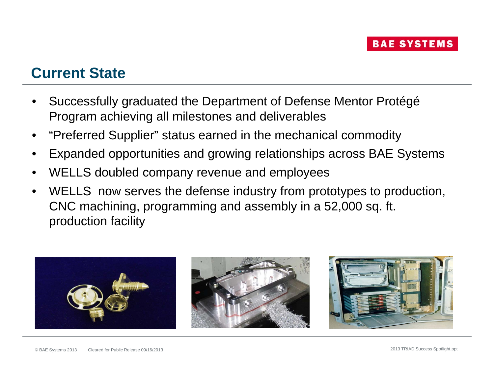### **Current State**

- • Successfully graduated the Department of Defense Mentor Protégé Program achieving all milestones and deliverables
- •"Preferred Supplier" status earned in the mechanical commodity
- •Expanded opportunities and growing relationships across BAE Systems
- •WELLS doubled company revenue and employees
- • WELLS now serves the defense industry from prototypes to production, CNC machining, programming and assembly in a 52,000 sq. ft. production facility

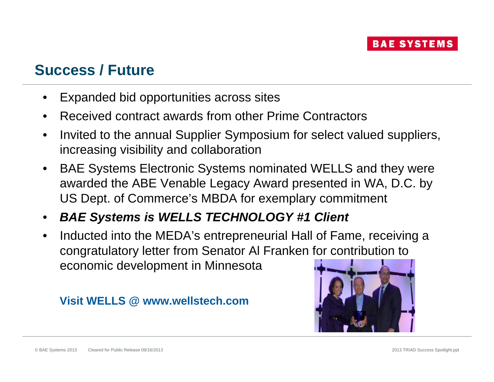### **Success / Future**

- • Expanded bid opportunities across sites Inded bid opportunities across sites<br>Inded bid opportunities across sites<br>Inved contract awards from other Prime
- •Received contract awards from other Prime Contractors
- • Invited to the annual Supplier Symposium for select valued suppliers, increasing visibility and collaboration
- •BAE Systems Electronic Systems nominated WELLS and they were awarded the ABE Venable Legacy Award presented in WA, D.C. by US Dept. of Commerce's MBDA for exemplary commitment
- $\bullet$ *BAE S stems is WELLS TECHNOLOGY #1 Client Systems*
- • Inducted into the MEDA's entrepreneurial Hall of Fame, receiving a congratulatory letter from Senator Al Franken for contribution to economic development in Minnesota

#### **Visit WELLS @ www.wellstech.com**